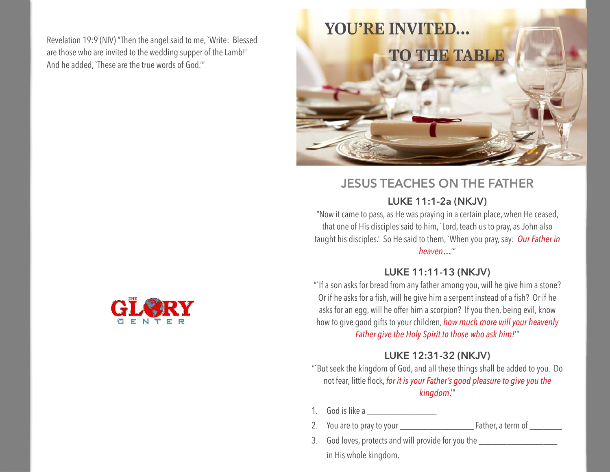Revelation 19:9 (NIV) "Then the angel said to me, `Write: Blessed are those who are invited to the wedding supper of the Lamb!' And he added, `These are the true words of God.'"



# **JESUS TEACHES ON THE FATHER**

#### **LUKE 11:1-2a (NKJV)**

"Now it came to pass, as He was praying in a certain place, when He ceased, that one of His disciples said to him, `Lord, teach us to pray, as John also taught his disciples.' So He said to them, `When you pray, say: *Our Father in heaven***…**'"

#### **LUKE 11:11-13 (NKJV)**

"`If a son asks for bread from any father among you, will he give him a stone? Or if he asks for a fish, will he give him a serpent instead of a fish? Or if he asks for an egg, will he offer him a scorpion? If you then, being evil, know how to give good gifts to your children, *how much more will your heavenly Father give the Holy Spirit to those who ask him!*'"

## **LUKE 12:31-32 (NKJV)**

"`But seek the kingdom of God, and all these things shall be added to you. Do not fear, little flock, *for it is your Father's good pleasure to give you the kingdom*.'"

- 1. God is like a \_\_\_\_\_\_\_\_\_\_\_\_\_\_\_
- 2. You are to pray to your \_\_\_\_\_\_\_\_\_\_\_\_\_\_\_\_ Father, a term of \_\_\_\_\_\_\_
- 3. God loves, protects and will provide for you the \_\_\_\_\_\_\_\_\_\_\_\_\_\_\_\_\_\_\_\_\_\_\_\_\_\_\_\_ in His whole kingdom.